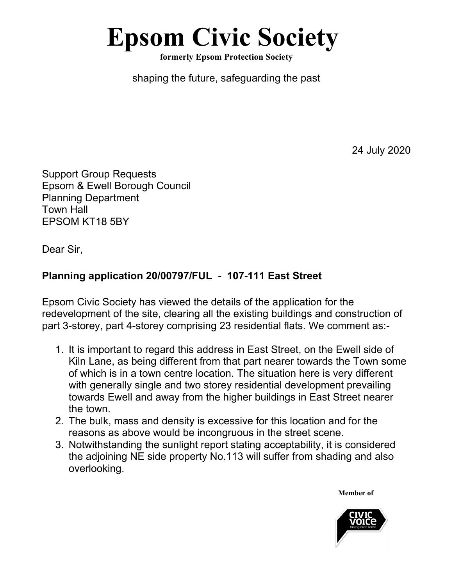## **Epsom Civic Society**

**formerly Epsom Protection Society**

shaping the future, safeguarding the past

24 July 2020

Support Group Requests Epsom & Ewell Borough Council Planning Department Town Hall EPSOM KT18 5BY

Dear Sir,

## **Planning application 20/00797/FUL - 107-111 East Street**

Epsom Civic Society has viewed the details of the application for the redevelopment of the site, clearing all the existing buildings and construction of part 3-storey, part 4-storey comprising 23 residential flats. We comment as:-

- 1. It is important to regard this address in East Street, on the Ewell side of Kiln Lane, as being different from that part nearer towards the Town some of which is in a town centre location. The situation here is very different with generally single and two storey residential development prevailing towards Ewell and away from the higher buildings in East Street nearer the town.
- 2. The bulk, mass and density is excessive for this location and for the reasons as above would be incongruous in the street scene.
- 3. Notwithstanding the sunlight report stating acceptability, it is considered the adjoining NE side property No.113 will suffer from shading and also overlooking.

**Member of**